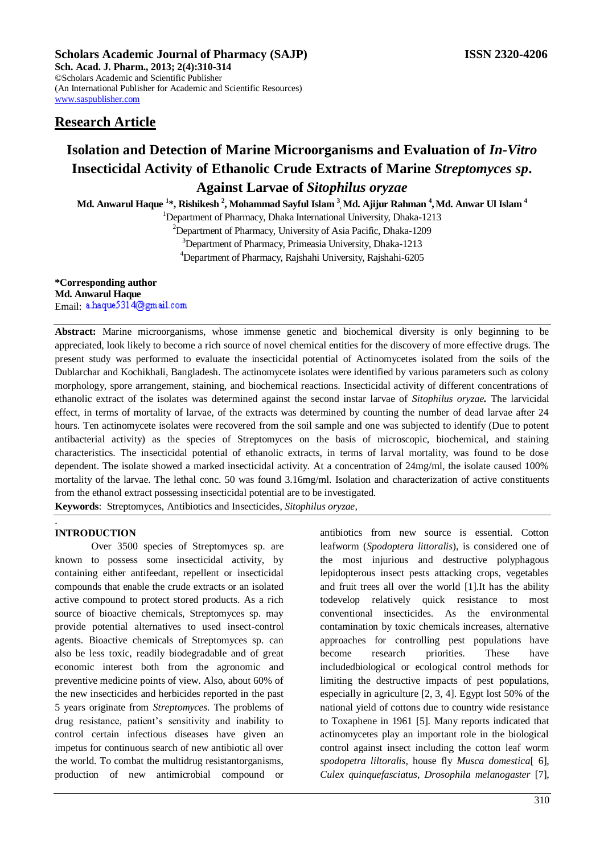# **Scholars Academic Journal of Pharmacy (SAJP) ISSN 2320-4206**

**Sch. Acad. J. Pharm., 2013; 2(4):310-314** ©Scholars Academic and Scientific Publisher (An International Publisher for Academic and Scientific Resources) [www.saspublisher.com](http://www.saspublisher.com/) 

# **Research Article**

# **Isolation and Detection of Marine Microorganisms and Evaluation of** *In-Vitro* **Insecticidal Activity of Ethanolic Crude Extracts of Marine** *Streptomyces sp***.**

# **Against Larvae of** *Sitophilus oryzae*

**Md. Anwarul Haque <sup>1</sup> \*, Rishikesh <sup>2</sup> , Mohammad Sayful Islam <sup>3</sup> , Md. Ajijur Rahman <sup>4</sup> ,Md. Anwar Ul Islam <sup>4</sup>**

<sup>1</sup>Department of Pharmacy, Dhaka International University, Dhaka-1213

<sup>2</sup>Department of Pharmacy, University of Asia Pacific, Dhaka-1209 <sup>3</sup>Department of Pharmacy, Primeasia University, Dhaka-1213 <sup>4</sup>Department of Pharmacy, Rajshahi University, Rajshahi-6205

**\*Corresponding author Md. Anwarul Haque**  Email: a.haque5314@gmail.com

**Abstract:** Marine microorganisms, whose immense genetic and biochemical diversity is only beginning to be appreciated, look likely to become a rich source of novel chemical entities for the discovery of more effective drugs. The present study was performed to evaluate the insecticidal potential of Actinomycetes isolated from the soils of the Dublarchar and Kochikhali, Bangladesh. The actinomycete isolates were identified by various parameters such as colony morphology, spore arrangement, staining, and biochemical reactions. Insecticidal activity of different concentrations of ethanolic extract of the isolates was determined against the second instar larvae of *Sitophilus oryzae.* The larvicidal effect, in terms of mortality of larvae, of the extracts was determined by counting the number of dead larvae after 24 hours. Ten actinomycete isolates were recovered from the soil sample and one was subjected to identify (Due to potent antibacterial activity) as the species of Streptomyces on the basis of microscopic, biochemical, and staining characteristics. The insecticidal potential of ethanolic extracts, in terms of larval mortality, was found to be dose dependent. The isolate showed a marked insecticidal activity. At a concentration of 24mg/ml, the isolate caused 100% mortality of the larvae. The lethal conc. 50 was found 3.16mg/ml. Isolation and characterization of active constituents from the ethanol extract possessing insecticidal potential are to be investigated.

**Keywords**: Streptomyces, Antibiotics and Insecticides, *Sitophilus oryzae,* 

#### . **INTRODUCTION**

Over 3500 species of Streptomyces sp. are known to possess some insecticidal activity, by containing either antifeedant, repellent or insecticidal compounds that enable the crude extracts or an isolated active compound to protect stored products. As a rich source of bioactive chemicals, Streptomyces sp. may provide potential alternatives to used insect-control agents. Bioactive chemicals of Streptomyces sp. can also be less toxic, readily biodegradable and of great economic interest both from the agronomic and preventive medicine points of view. Also, about 60% of the new insecticides and herbicides reported in the past 5 years originate from *Streptomyces*. The problems of drug resistance, patient's sensitivity and inability to control certain infectious diseases have given an impetus for continuous search of new antibiotic all over the world. To combat the multidrug resistantorganisms, production of new antimicrobial compound or

antibiotics from new source is essential. Cotton leafworm (*Spodoptera littoralis*), is considered one of the most injurious and destructive polyphagous lepidopterous insect pests attacking crops, vegetables and fruit trees all over the world [1].It has the ability todevelop relatively quick resistance to most conventional insecticides. As the environmental contamination by toxic chemicals increases, alternative approaches for controlling pest populations have become research priorities. These have includedbiological or ecological control methods for limiting the destructive impacts of pest populations, especially in agriculture [2, 3, 4]. Egypt lost 50% of the national yield of cottons due to country wide resistance to Toxaphene in 1961 [5]. Many reports indicated that actinomycetes play an important role in the biological control against insect including the cotton leaf worm *spodopetra liltoralis*, house fly *Musca domestica*[ 6], *Culex quinquefasciatus*, *Drosophila melanogaster* [7],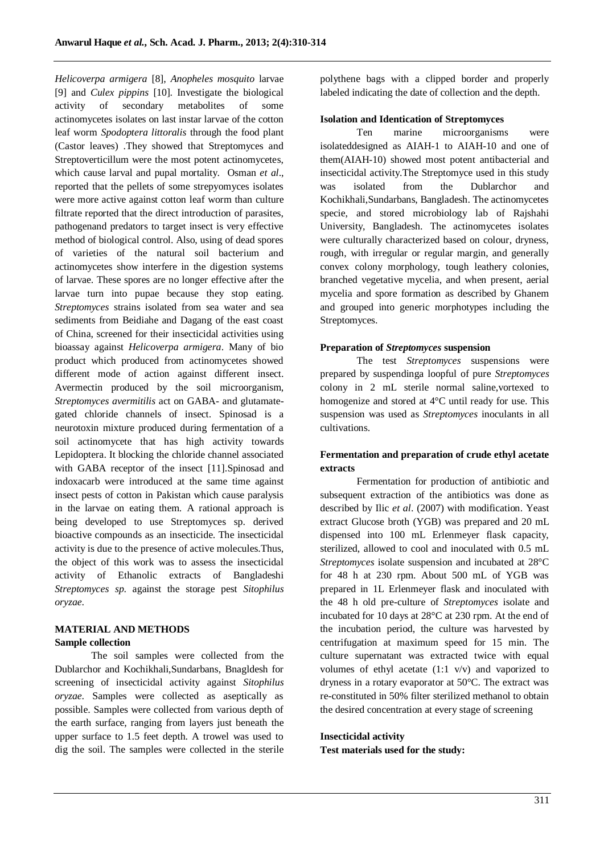*Helicoverpa armigera* [8], *Anopheles mosquito* larvae [9] and *Culex pippins* [10]. Investigate the biological activity of secondary metabolites of some actinomycetes isolates on last instar larvae of the cotton leaf worm *Spodoptera littoralis* through the food plant (Castor leaves) .They showed that Streptomyces and Streptoverticillum were the most potent actinomycetes, which cause larval and pupal mortality. Osman *et al*., reported that the pellets of some strepyomyces isolates were more active against cotton leaf worm than culture filtrate reported that the direct introduction of parasites, pathogenand predators to target insect is very effective method of biological control. Also, using of dead spores of varieties of the natural soil bacterium and actinomycetes show interfere in the digestion systems of larvae. These spores are no longer effective after the larvae turn into pupae because they stop eating. *Streptomyces* strains isolated from sea water and sea sediments from Beidiahe and Dagang of the east coast of China, screened for their insecticidal activities using bioassay against *Helicoverpa armigera*. Many of bio product which produced from actinomycetes showed different mode of action against different insect. Avermectin produced by the soil microorganism, *Streptomyces avermitilis* act on GABA- and glutamategated chloride channels of insect. Spinosad is a neurotoxin mixture produced during fermentation of a soil actinomycete that has high activity towards Lepidoptera. It blocking the chloride channel associated with GABA receptor of the insect [11].Spinosad and indoxacarb were introduced at the same time against insect pests of cotton in Pakistan which cause paralysis in the larvae on eating them. A rational approach is being developed to use Streptomyces sp. derived bioactive compounds as an insecticide. The insecticidal activity is due to the presence of active molecules.Thus, the object of this work was to assess the insecticidal activity of Ethanolic extracts of Bangladeshi *Streptomyces sp*. against the storage pest *Sitophilus oryzae*.

#### **MATERIAL AND METHODS Sample collection**

The soil samples were collected from the Dublarchor and Kochikhali,Sundarbans, Bnagldesh for screening of insecticidal activity against *Sitophilus oryzae*. Samples were collected as aseptically as possible. Samples were collected from various depth of the earth surface, ranging from layers just beneath the upper surface to 1.5 feet depth. A trowel was used to dig the soil. The samples were collected in the sterile

polythene bags with a clipped border and properly labeled indicating the date of collection and the depth.

#### **Isolation and Identication of Streptomyces**

Ten marine microorganisms were isolateddesigned as AIAH-1 to AIAH-10 and one of them(AIAH-10) showed most potent antibacterial and insecticidal activity.The Streptomyce used in this study was isolated from the Dublarchor and Kochikhali,Sundarbans, Bangladesh. The actinomycetes specie, and stored microbiology lab of Rajshahi University, Bangladesh. The actinomycetes isolates were culturally characterized based on colour, dryness, rough, with irregular or regular margin, and generally convex colony morphology, tough leathery colonies, branched vegetative mycelia, and when present, aerial mycelia and spore formation as described by Ghanem and grouped into generic morphotypes including the Streptomyces.

#### **Preparation of** *Streptomyces* **suspension**

The test *Streptomyces* suspensions were prepared by suspendinga loopful of pure *Streptomyces*  colony in 2 mL sterile normal saline,vortexed to homogenize and stored at 4°C until ready for use. This suspension was used as *Streptomyces* inoculants in all cultivations.

# **Fermentation and preparation of crude ethyl acetate extracts**

Fermentation for production of antibiotic and subsequent extraction of the antibiotics was done as described by Ilic *et al*. (2007) with modification. Yeast extract Glucose broth (YGB) was prepared and 20 mL dispensed into 100 mL Erlenmeyer flask capacity, sterilized, allowed to cool and inoculated with 0.5 mL *Streptomyces* isolate suspension and incubated at 28°C for 48 h at 230 rpm. About 500 mL of YGB was prepared in 1L Erlenmeyer flask and inoculated with the 48 h old pre-culture of *Streptomyces* isolate and incubated for 10 days at 28°C at 230 rpm. At the end of the incubation period, the culture was harvested by centrifugation at maximum speed for 15 min. The culture supernatant was extracted twice with equal volumes of ethyl acetate (1:1 v/v) and vaporized to dryness in a rotary evaporator at 50°C. The extract was re-constituted in 50% filter sterilized methanol to obtain the desired concentration at every stage of screening

# **Insecticidal activity**

**Test materials used for the study:**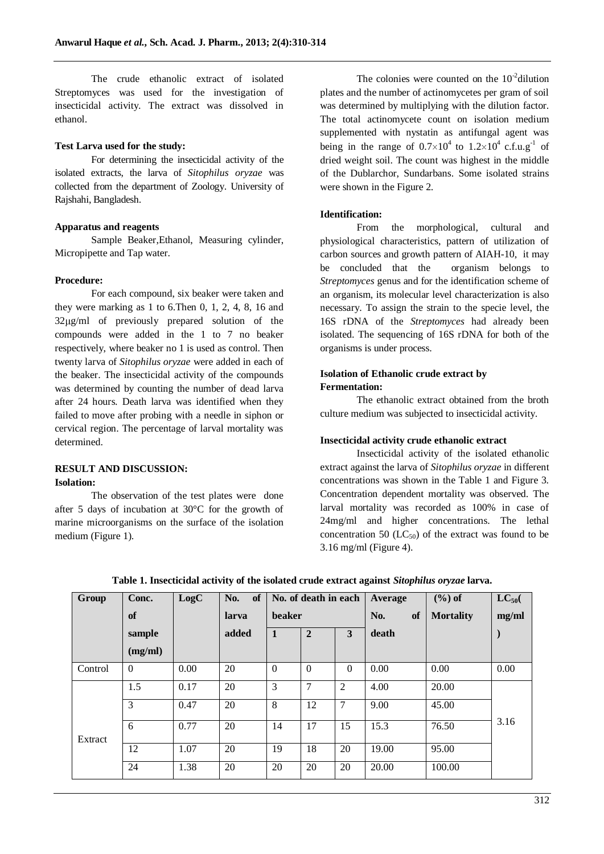The crude ethanolic extract of isolated Streptomyces was used for the investigation of insecticidal activity. The extract was dissolved in ethanol.

#### **Test Larva used for the study:**

For determining the insecticidal activity of the isolated extracts, the larva of *Sitophilus oryzae* was collected from the department of Zoology. University of Rajshahi, Bangladesh.

## **Apparatus and reagents**

Sample Beaker,Ethanol, Measuring cylinder, Micropipette and Tap water.

#### **Procedure:**

For each compound, six beaker were taken and they were marking as 1 to 6.Then 0, 1, 2, 4, 8, 16 and  $32\mu g/ml$  of previously prepared solution of the compounds were added in the 1 to 7 no beaker respectively, where beaker no 1 is used as control. Then twenty larva of *Sitophilus oryzae* were added in each of the beaker. The insecticidal activity of the compounds was determined by counting the number of dead larva after 24 hours. Death larva was identified when they failed to move after probing with a needle in siphon or cervical region. The percentage of larval mortality was determined.

# **RESULT AND DISCUSSION: Isolation:**

The observation of the test plates were done after 5 days of incubation at 30°C for the growth of marine microorganisms on the surface of the isolation medium (Figure 1).

The colonies were counted on the  $10^{-2}$  dilution plates and the number of actinomycetes per gram of soil was determined by multiplying with the dilution factor. The total actinomycete count on isolation medium supplemented with nystatin as antifungal agent was being in the range of  $0.7 \times 10^4$  to  $1.2 \times 10^4$  c.f.u.g<sup>-1</sup> of dried weight soil. The count was highest in the middle of the Dublarchor, Sundarbans. Some isolated strains were shown in the Figure 2.

# **Identification:**

From the morphological, cultural and physiological characteristics, pattern of utilization of carbon sources and growth pattern of AIAH-10, it may be concluded that the organism belongs to *Streptomyces* genus and for the identification scheme of an organism, its molecular level characterization is also necessary. To assign the strain to the specie level, the 16S rDNA of the *Streptomyces* had already been isolated. The sequencing of 16S rDNA for both of the organisms is under process.

# **Isolation of Ethanolic crude extract by Fermentation:**

The ethanolic extract obtained from the broth culture medium was subjected to insecticidal activity.

# **Insecticidal activity crude ethanolic extract**

Insecticidal activity of the isolated ethanolic extract against the larva of *Sitophilus oryzae* in different concentrations was shown in the Table 1 and Figure 3. Concentration dependent mortality was observed. The larval mortality was recorded as 100% in case of 24mg/ml and higher concentrations. The lethal concentration 50  $(LC_{50})$  of the extract was found to be 3.16 mg/ml (Figure 4).

| Group   | Conc.    | LogC | <b>of</b><br>No. | No. of death in each |                |                | Average   | $(\%)$ of        | $LC_{50}$ |
|---------|----------|------|------------------|----------------------|----------------|----------------|-----------|------------------|-----------|
|         | of       |      | larva            | <b>beaker</b>        |                |                | No.<br>of | <b>Mortality</b> | mg/ml     |
|         | sample   |      | added            | $\mathbf{1}$         | $\overline{2}$ | 3              | death     |                  |           |
|         | (mg/ml)  |      |                  |                      |                |                |           |                  |           |
| Control | $\Omega$ | 0.00 | 20               | $\Omega$             | $\Omega$       | $\theta$       | 0.00      | 0.00             | 0.00      |
|         | 1.5      | 0.17 | 20               | 3                    | 7              | $\overline{2}$ | 4.00      | 20.00            |           |
| Extract | 3        | 0.47 | 20               | 8                    | 12             | 7              | 9.00      | 45.00            | 3.16      |
|         | 6        | 0.77 | 20               | 14                   | 17             | 15             | 15.3      | 76.50            |           |
|         | 12       | 1.07 | 20               | 19                   | 18             | 20             | 19.00     | 95.00            |           |
|         | 24       | 1.38 | 20               | 20                   | 20             | 20             | 20.00     | 100.00           |           |

**Table 1. Insecticidal activity of the isolated crude extract against** *Sitophilus oryzae* **larva.**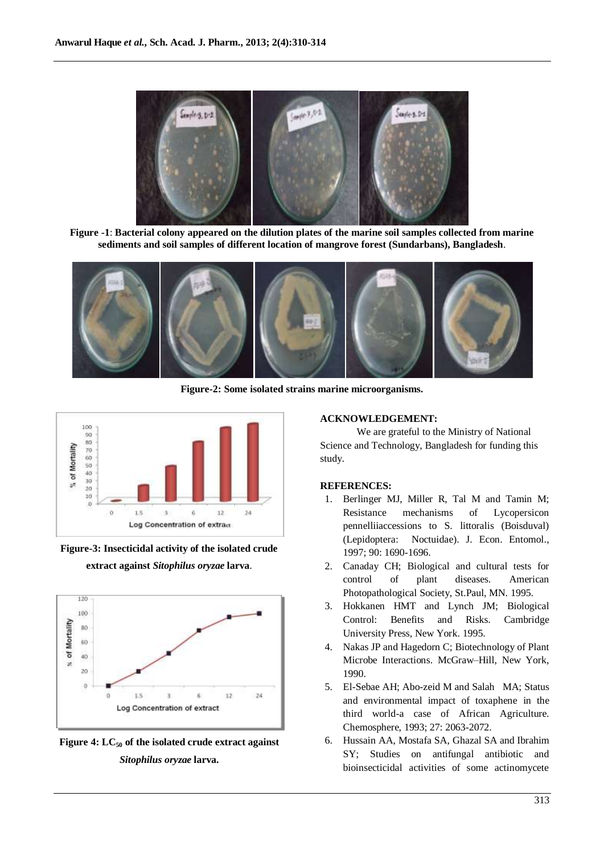

**Figure -1**: **Bacterial colony appeared on the dilution plates of the marine soil samples collected from marine sediments and soil samples of different location of mangrove forest (Sundarbans), Bangladesh**.



**Figure-2: Some isolated strains marine microorganisms.**



**Figure-3: Insecticidal activity of the isolated crude extract against** *Sitophilus oryzae* **larva**.



**Figure 4: LC<sup>50</sup> of the isolated crude extract against** *Sitophilus oryzae* **larva.**

# **ACKNOWLEDGEMENT:**

We are grateful to the Ministry of National Science and Technology, Bangladesh for funding this study.

#### **REFERENCES:**

- 1. Berlinger MJ, Miller R, Tal M and Tamin M; Resistance mechanisms of Lycopersicon pennelliiaccessions to S. littoralis (Boisduval) (Lepidoptera: Noctuidae). J. Econ. Entomol., 1997; 90: 1690-1696.
- 2. Canaday CH; Biological and cultural tests for control of plant diseases. American Photopathological Society, St.Paul, MN. 1995.
- 3. Hokkanen HMT and Lynch JM; Biological Control: Benefits and Risks. Cambridge University Press, New York. 1995.
- 4. Nakas JP and Hagedorn C; Biotechnology of Plant Microbe Interactions. McGraw–Hill, New York, 1990.
- 5. El-Sebae AH; Abo-zeid M and Salah MA; Status and environmental impact of toxaphene in the third world-a case of African Agriculture. Chemosphere, 1993; 27: 2063-2072.
- 6. Hussain AA, Mostafa SA, Ghazal SA and Ibrahim SY; Studies on antifungal antibiotic and bioinsecticidal activities of some actinomycete